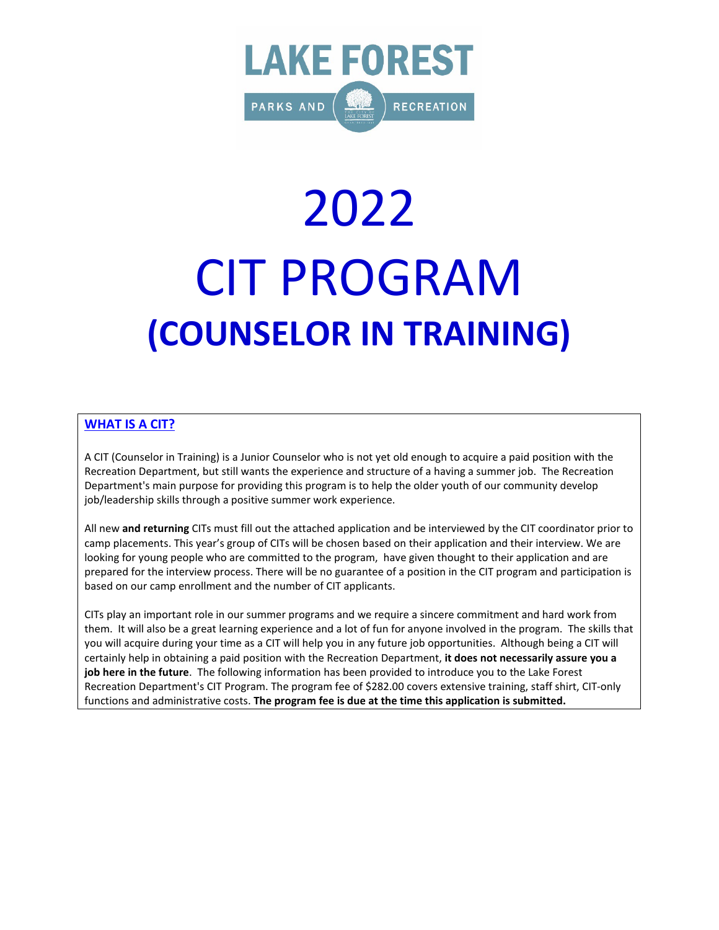

# 2022 CIT PROGRAM **(COUNSELOR IN TRAINING)**

### **WHAT IS A CIT?**

A CIT (Counselor in Training) is a Junior Counselor who is not yet old enough to acquire a paid position with the Recreation Department, but still wants the experience and structure of a having a summer job. The Recreation Department's main purpose for providing this program is to help the older youth of our community develop job/leadership skills through a positive summer work experience.

All new **and returning** CITs must fill out the attached application and be interviewed by the CIT coordinator prior to camp placements. This year's group of CITs will be chosen based on their application and their interview. We are looking for young people who are committed to the program, have given thought to their application and are prepared for the interview process. There will be no guarantee of a position in the CIT program and participation is based on our camp enrollment and the number of CIT applicants.

CITs play an important role in our summer programs and we require a sincere commitment and hard work from them. It will also be a great learning experience and a lot of fun for anyone involved in the program. The skills that you will acquire during your time as a CIT will help you in any future job opportunities. Although being a CIT will certainly help in obtaining a paid position with the Recreation Department, **it does not necessarily assure you a job here in the future**. The following information has been provided to introduce you to the Lake Forest Recreation Department's CIT Program. The program fee of \$282.00 covers extensive training, staff shirt, CIT-only functions and administrative costs. **The program fee is due at the time this application is submitted.**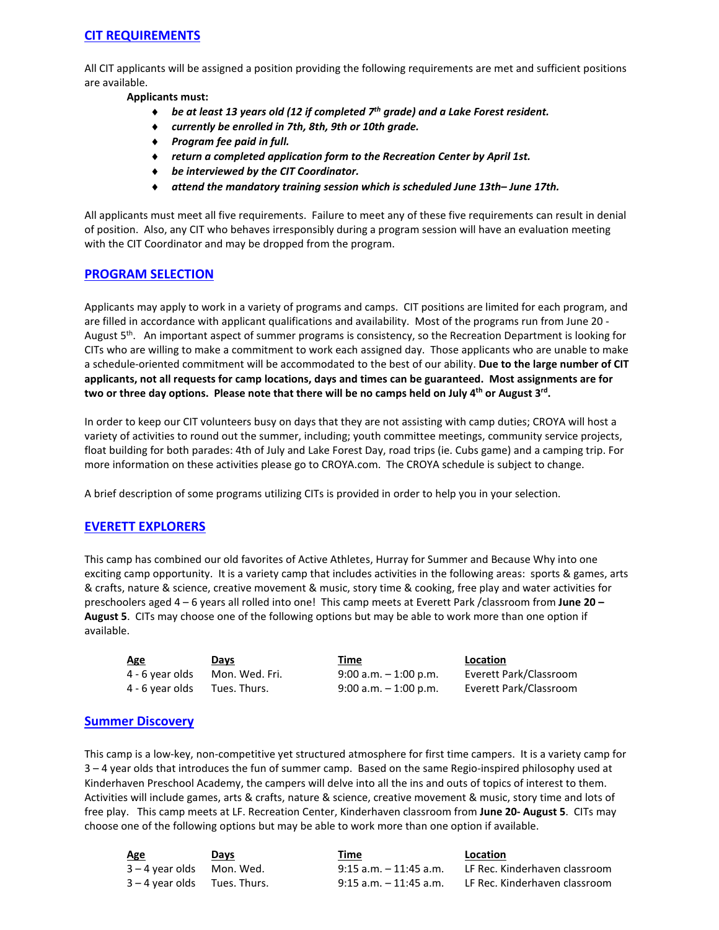### **CIT REQUIREMENTS**

All CIT applicants will be assigned a position providing the following requirements are met and sufficient positions are available.

**Applicants must:**

- ♦ *be at least 13 years old (12 if completed 7th grade) and a Lake Forest resident.*
- ♦ *currently be enrolled in 7th, 8th, 9th or 10th grade.*
- ♦ *Program fee paid in full.*
- ♦ *return a completed application form to the Recreation Center by April 1st.*
- ♦ *be interviewed by the CIT Coordinator.*
- ♦ *attend the mandatory training session which is scheduled June 13th– June 17th.*

All applicants must meet all five requirements. Failure to meet any of these five requirements can result in denial of position. Also, any CIT who behaves irresponsibly during a program session will have an evaluation meeting with the CIT Coordinator and may be dropped from the program.

### **PROGRAM SELECTION**

Applicants may apply to work in a variety of programs and camps. CIT positions are limited for each program, and are filled in accordance with applicant qualifications and availability. Most of the programs run from June 20 - August 5<sup>th</sup>. An important aspect of summer programs is consistency, so the Recreation Department is looking for CITs who are willing to make a commitment to work each assigned day. Those applicants who are unable to make a schedule-oriented commitment will be accommodated to the best of our ability. **Due to the large number of CIT applicants, not all requests for camp locations, days and times can be guaranteed. Most assignments are for two or three day options. Please note that there will be no camps held on July 4th or August 3rd.**

In order to keep our CIT volunteers busy on days that they are not assisting with camp duties; CROYA will host a variety of activities to round out the summer, including; youth committee meetings, community service projects, float building for both parades: 4th of July and Lake Forest Day, road trips (ie. Cubs game) and a camping trip. For more information on these activities please go to CROYA.com. The CROYA schedule is subject to change.

A brief description of some programs utilizing CITs is provided in order to help you in your selection.

### **EVERETT EXPLORERS**

This camp has combined our old favorites of Active Athletes, Hurray for Summer and Because Why into one exciting camp opportunity. It is a variety camp that includes activities in the following areas: sports & games, arts & crafts, nature & science, creative movement & music, story time & cooking, free play and water activities for preschoolers aged 4 – 6 years all rolled into one! This camp meets at Everett Park /classroom from **June 20 – August 5**. CITs may choose one of the following options but may be able to work more than one option if available.

| <b>Age</b>      | Days           | Time                     | Location  |
|-----------------|----------------|--------------------------|-----------|
| 4 - 6 year olds | Mon. Wed. Fri. | $9:00$ a.m. $-1:00$ p.m. | Everett F |
| 4 - 6 year olds | Tues. Thurs.   | $9:00$ a.m. $-1:00$ p.m. | Everett F |

Thurs. 9:00 a.m. – 1:00 p.m. Everett Park/Classroom

Wed. Fri. 9:00 a.m. – 1:00 p.m. Everett Park/Classroom

### **Summer Discovery**

This camp is a low-key, non-competitive yet structured atmosphere for first time campers. It is a variety camp for 3 – 4 year olds that introduces the fun of summer camp. Based on the same Regio-inspired philosophy used at Kinderhaven Preschool Academy, the campers will delve into all the ins and outs of topics of interest to them. Activities will include games, arts & crafts, nature & science, creative movement & music, story time and lots of free play. This camp meets at LF. Recreation Center, Kinderhaven classroom from **June 20- August 5**. CITs may choose one of the following options but may be able to work more than one option if available.

| Age                            | Days | Time                   | Location                                             |
|--------------------------------|------|------------------------|------------------------------------------------------|
| $3 - 4$ year olds Mon. Wed.    |      | 9:15 a.m. – 11:45 a.m. | LF Rec. Kinderhaven classroom                        |
| $3 - 4$ year olds Tues. Thurs. |      |                        | 9:15 a.m. - 11:45 a.m. LF Rec. Kinderhaven classroom |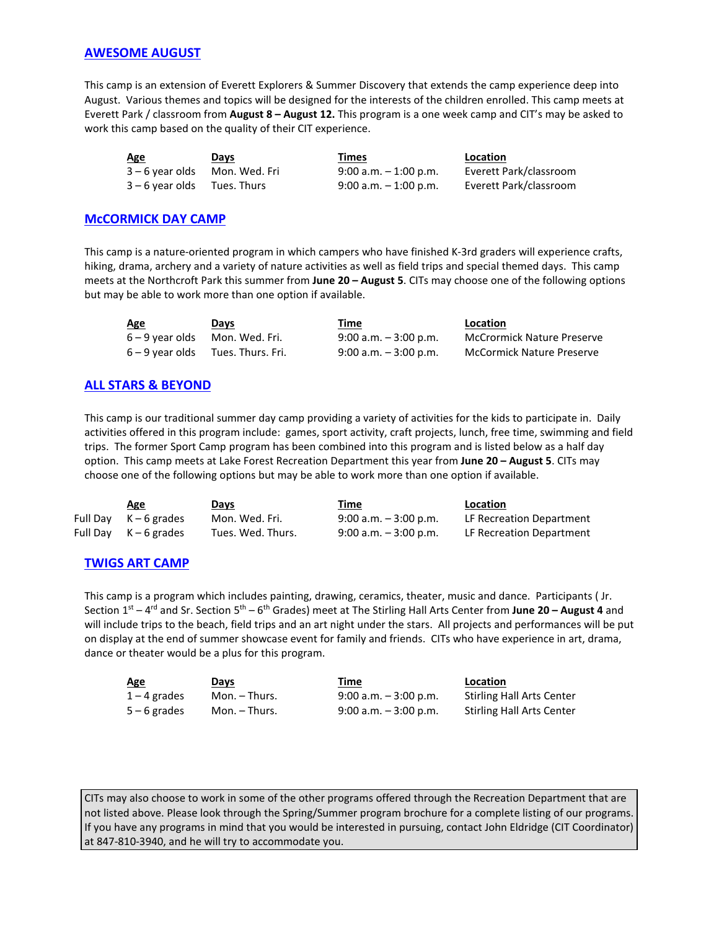### **AWESOME AUGUST**

This camp is an extension of Everett Explorers & Summer Discovery that extends the camp experience deep into August. Various themes and topics will be designed for the interests of the children enrolled. This camp meets at Everett Park / classroom from **August 8 – August 12.** This program is a one week camp and CIT's may be asked to work this camp based on the quality of their CIT experience.

| <u>Age</u>                    | Days        | Times                    | Location               |
|-------------------------------|-------------|--------------------------|------------------------|
| 3 – 6 year olds Mon. Wed. Fri |             | $9:00$ a.m. $-1:00$ p.m. | Everett Park/classroom |
| $3 - 6$ vear olds             | Tues. Thurs | $9:00$ a.m. $-1:00$ p.m. | Everett Park/classroom |

### **McCORMICK DAY CAMP**

This camp is a nature-oriented program in which campers who have finished K-3rd graders will experience crafts, hiking, drama, archery and a variety of nature activities as well as field trips and special themed days. This camp meets at the Northcroft Park this summer from **June 20 – August 5**. CITs may choose one of the following options but may be able to work more than one option if available.

| Age             | Days              | <u>Time</u>              | Location                          |
|-----------------|-------------------|--------------------------|-----------------------------------|
| 6 – 9 year olds | Mon. Wed. Fri.    | $9:00$ a.m. $-3:00$ p.m. | <b>McCrormick Nature Preserve</b> |
| 6 – 9 vear olds | Tues. Thurs. Fri. | $9:00$ a.m. $-3:00$ p.m. | <b>McCormick Nature Preserve</b>  |

### **ALL STARS & BEYOND**

This camp is our traditional summer day camp providing a variety of activities for the kids to participate in. Daily activities offered in this program include: games, sport activity, craft projects, lunch, free time, swimming and field trips. The former Sport Camp program has been combined into this program and is listed below as a half day option. This camp meets at Lake Forest Recreation Department this year from **June 20 – August 5**. CITs may choose one of the following options but may be able to work more than one option if available.

| Age                   | Days              | Time                     | <b>Location</b>          |
|-----------------------|-------------------|--------------------------|--------------------------|
| Full Day $K-6$ grades | Mon. Wed. Fri.    | $9:00$ a.m. $-3:00$ p.m. | LF Recreation Department |
| Full Day K – 6 grades | Tues. Wed. Thurs. | $9:00$ a.m. $-3:00$ p.m. | LF Recreation Department |

### **TWIGS ART CAMP**

This camp is a program which includes painting, drawing, ceramics, theater, music and dance. Participants ( Jr. Section 1st – 4rd and Sr. Section 5th – 6th Grades) meet at The Stirling Hall Arts Center from **June 20 – August 4** and will include trips to the beach, field trips and an art night under the stars. All projects and performances will be put on display at the end of summer showcase event for family and friends. CITs who have experience in art, drama, dance or theater would be a plus for this program.

| <b>Age</b>     | Days          | <u>Time</u>              | Location                         |
|----------------|---------------|--------------------------|----------------------------------|
| $1 - 4$ grades | Mon. – Thurs. | $9:00$ a.m. $-3:00$ p.m. | <b>Stirling Hall Arts Center</b> |
| $5 - 6$ grades | Mon. – Thurs. | $9:00$ a.m. $-3:00$ p.m. | <b>Stirling Hall Arts Center</b> |

CITs may also choose to work in some of the other programs offered through the Recreation Department that are not listed above. Please look through the Spring/Summer program brochure for a complete listing of our programs. If you have any programs in mind that you would be interested in pursuing, contact John Eldridge (CIT Coordinator) at 847-810-3940, and he will try to accommodate you.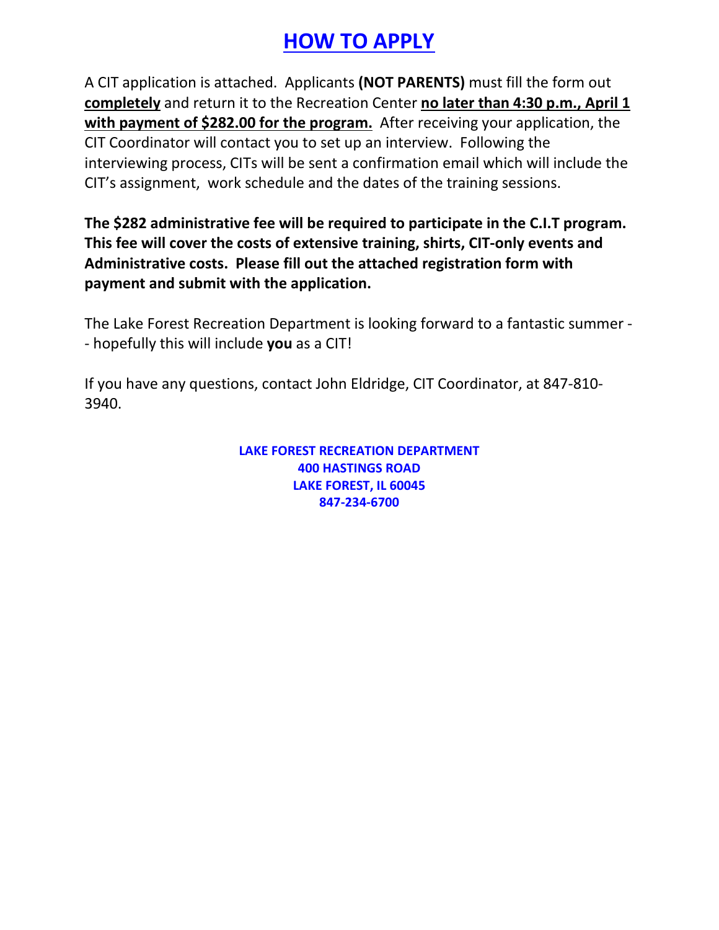## **HOW TO APPLY**

A CIT application is attached. Applicants **(NOT PARENTS)** must fill the form out **completely** and return it to the Recreation Center **no later than 4:30 p.m., April 1 with payment of \$282.00 for the program.** After receiving your application, the CIT Coordinator will contact you to set up an interview. Following the interviewing process, CITs will be sent a confirmation email which will include the CIT's assignment, work schedule and the dates of the training sessions.

**The \$282 administrative fee will be required to participate in the C.I.T program. This fee will cover the costs of extensive training, shirts, CIT-only events and Administrative costs. Please fill out the attached registration form with payment and submit with the application.**

The Lake Forest Recreation Department is looking forward to a fantastic summer - - hopefully this will include **you** as a CIT!

If you have any questions, contact John Eldridge, CIT Coordinator, at 847-810- 3940.

> **LAKE FOREST RECREATION DEPARTMENT 400 HASTINGS ROAD LAKE FOREST, IL 60045 847-234-6700**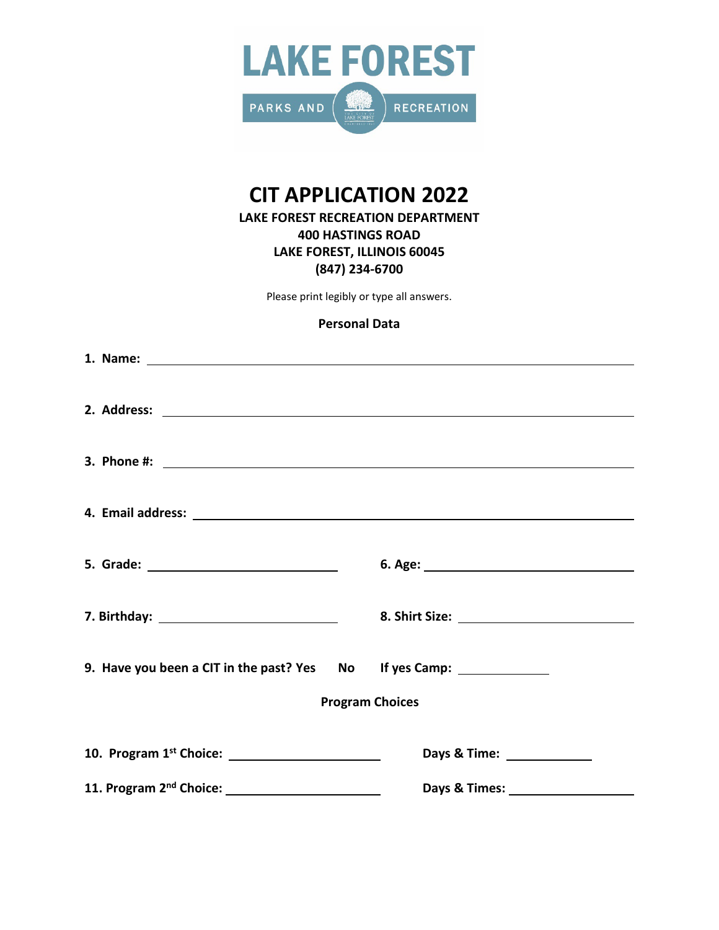

### **CIT APPLICATION 2022**

### **LAKE FOREST RECREATION DEPARTMENT 400 HASTINGS ROAD LAKE FOREST, ILLINOIS 60045 (847) 234-6700**

Please print legibly or type all answers.

### **Personal Data**

|                                                                            | 8. Shirt Size: Management Size: |
|----------------------------------------------------------------------------|---------------------------------|
| 9. Have you been a CIT in the past? Yes No If yes Camp: __________________ |                                 |
|                                                                            | <b>Program Choices</b>          |
|                                                                            | Days & Time: ________________   |
|                                                                            |                                 |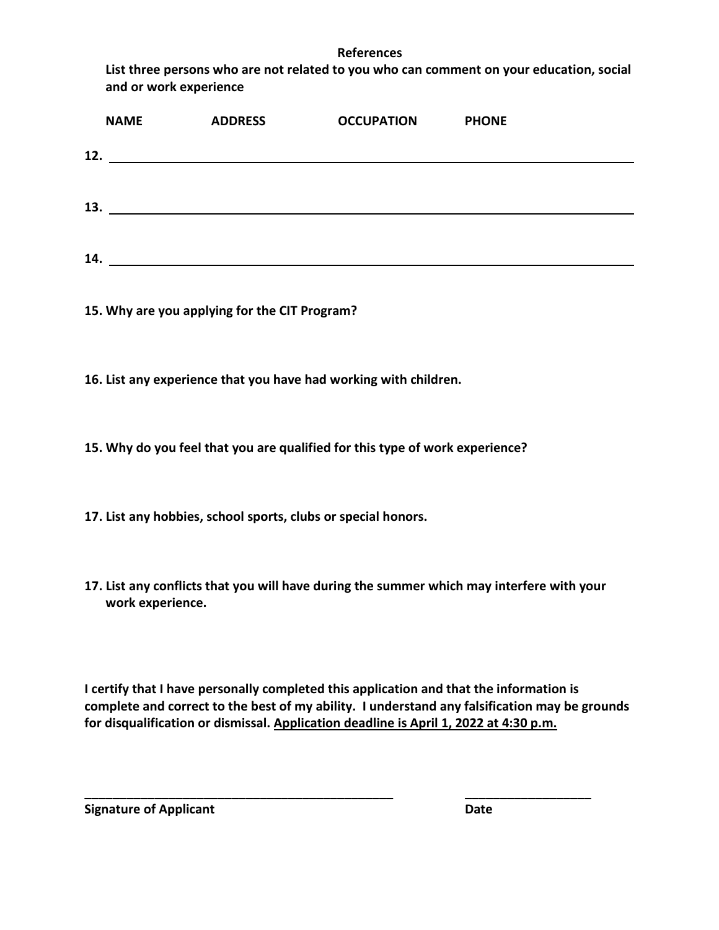### **References**

**List three persons who are not related to you who can comment on your education, social and or work experience**

|     | <b>NAME</b> | <b>ADDRESS</b> | <b>OCCUPATION</b> | <b>PHONE</b> |
|-----|-------------|----------------|-------------------|--------------|
| 12. |             |                |                   |              |
|     |             |                |                   |              |
| 13. |             |                |                   |              |
|     |             |                |                   |              |
| 14. |             |                |                   |              |

**15. Why are you applying for the CIT Program?**

**16. List any experience that you have had working with children.**

**15. Why do you feel that you are qualified for this type of work experience?**

**17. List any hobbies, school sports, clubs or special honors.**

**17. List any conflicts that you will have during the summer which may interfere with your work experience.**

**I certify that I have personally completed this application and that the information is complete and correct to the best of my ability. I understand any falsification may be grounds for disqualification or dismissal. Application deadline is April 1, 2022 at 4:30 p.m.**

**\_\_\_\_\_\_\_\_\_\_\_\_\_\_\_\_\_\_\_\_\_\_\_\_\_\_\_\_\_\_\_\_\_\_\_\_\_\_\_\_\_\_\_\_ \_\_\_\_\_\_\_\_\_\_\_\_\_\_\_\_\_\_**

**Signature of Applicant Date**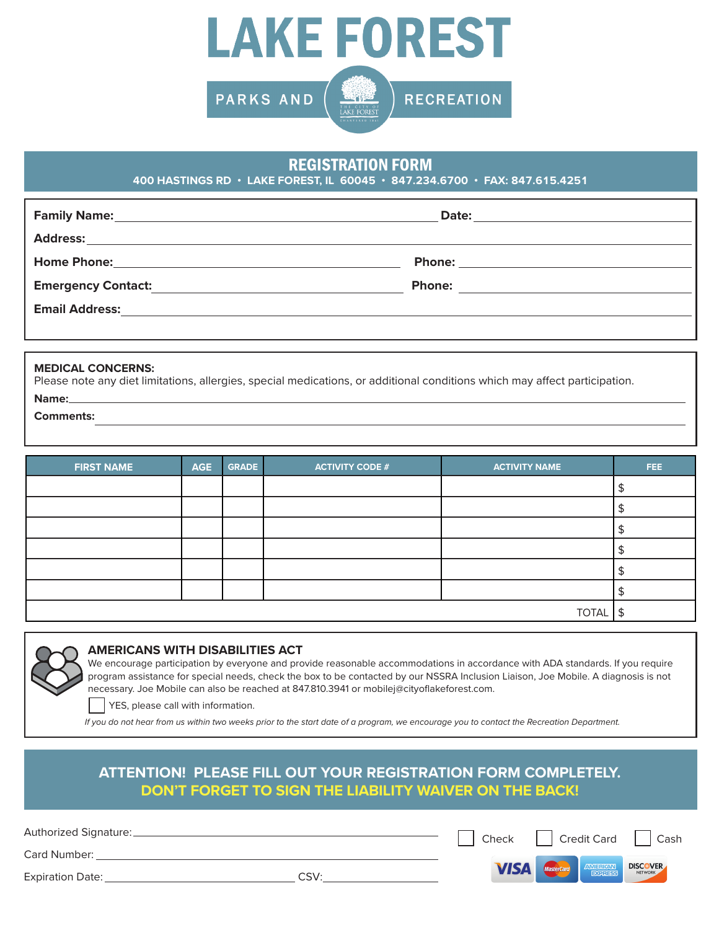

### REGISTRATION FORM

**400 HASTINGS RD • LAKE FOREST, IL 60045 • 847.234.6700 • FAX: 847.615.4251**

| <b>Emergency Contact:</b> | <b>Phone:</b> |
|---------------------------|---------------|
| <b>Email Address:</b>     |               |
|                           |               |

#### **MEDICAL CONCERNS:**

Please note any diet limitations, allergies, special medications, or additional conditions which may affect participation. **Name:**

**Comments:**

| <b>FIRST NAME</b> | <b>AGE</b> | <b>GRADE</b> | <b>ACTIVITY CODE #</b> | <b>ACTIVITY NAME</b> | FEE. |
|-------------------|------------|--------------|------------------------|----------------------|------|
|                   |            |              |                        |                      |      |
|                   |            |              |                        |                      |      |
|                   |            |              |                        |                      |      |
|                   |            |              |                        |                      |      |
|                   |            |              |                        |                      |      |
|                   |            |              |                        |                      |      |
|                   |            |              |                        | <b>TOTAL</b>         | \$   |



### **AMERICANS WITH DISABILITIES ACT**

We encourage participation by everyone and provide reasonable accommodations in accordance with ADA standards. If you require program assistance for special needs, check the box to be contacted by our NSSRA Inclusion Liaison, Joe Mobile. A diagnosis is not necessary. Joe Mobile can also be reached at 847.810.3941 or mobilej@cityoflakeforest.com.

Check | Credit Card | Cash

**DISCOVER** 

YES, please call with information.

 *If you do not hear from us within two weeks prior to the start date of a program, we encourage you to contact the Recreation Department.*

### **ATTENTION! PLEASE FILL OUT YOUR REGISTRATION FORM COMPLETELY. DON'T FORGET TO SIGN THE LIABILITY WAIVER ON THE BACK!**

Authorized Signature:

Card Number:

Expiration Date: CSV: